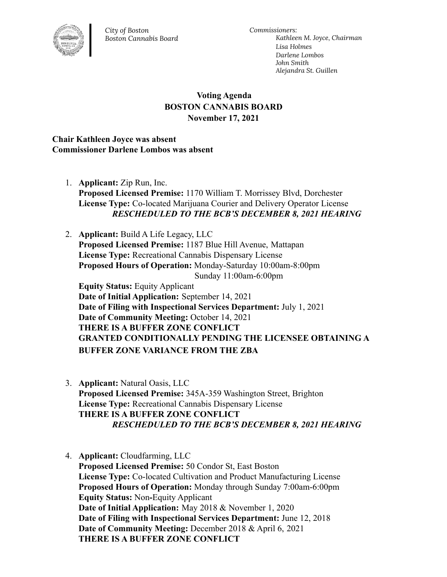

*City of Boston Boston Cannabis Board* *Commissioners: Kathleen M. Joyce, Chairman Lisa Holmes Darlene Lombos John Smith Alejandra St. Guillen*

## **Voting Agenda BOSTON CANNABIS BOARD November 17, 2021**

## **Chair Kathleen Joyce was absent Commissioner Darlene Lombos was absent**

1. **Applicant:** Zip Run, Inc. **Proposed Licensed Premise:** 1170 William T. Morrissey Blvd, Dorchester **License Type:** Co-located Marijuana Courier and Delivery Operator License *RESCHEDULED TO THE BCB'S DECEMBER 8, 2021 HEARING*

2. **Applicant:** Build A Life Legacy, LLC **Proposed Licensed Premise:** 1187 Blue Hill Avenue, Mattapan **License Type:** Recreational Cannabis Dispensary License **Proposed Hours of Operation:** Monday-Saturday 10:00am-8:00pm Sunday 11:00am-6:00pm **Equity Status:** Equity Applicant **Date of Initial Application:** September 14, 2021 **Date of Filing with Inspectional Services Department:** July 1, 2021 **Date of Community Meeting:** October 14, 2021 **THERE IS A BUFFER ZONE CONFLICT GRANTED CONDITIONALLY PENDING THE LICENSEE OBTAINING A BUFFER ZONE VARIANCE FROM THE ZBA**

- 3. **Applicant:** Natural Oasis, LLC **Proposed Licensed Premise:** 345A-359 Washington Street, Brighton **License Type:** Recreational Cannabis Dispensary License **THERE IS A BUFFER ZONE CONFLICT** *RESCHEDULED TO THE BCB'S DECEMBER 8, 2021 HEARING*
- 4. **Applicant:** Cloudfarming, LLC **Proposed Licensed Premise:** 50 Condor St, East Boston **License Type:** Co-located Cultivation and Product Manufacturing License **Proposed Hours of Operation:** Monday through Sunday 7:00am-6:00pm **Equity Status:** Non**-**Equity Applicant **Date of Initial Application:** May 2018 & November 1, 2020 **Date of Filing with Inspectional Services Department:** June 12, 2018 **Date of Community Meeting:** December 2018 & April 6, 2021 **THERE IS A BUFFER ZONE CONFLICT**